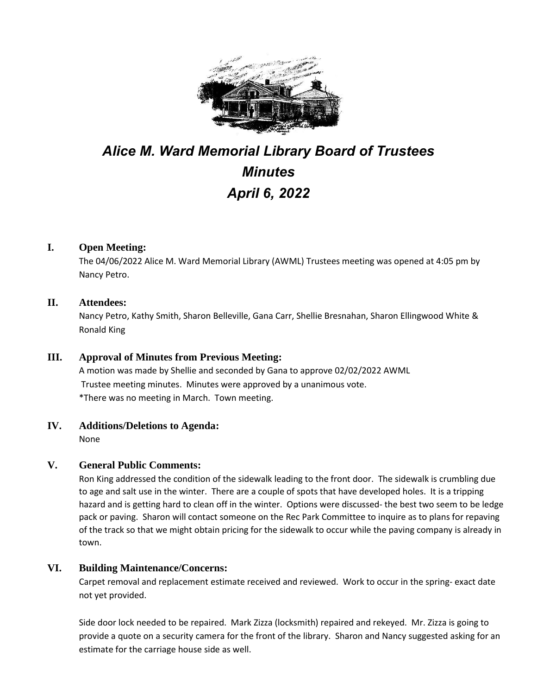

# *Alice M. Ward Memorial Library Board of Trustees Minutes April 6, 2022*

# **I. Open Meeting:**

The 04/06/2022 Alice M. Ward Memorial Library (AWML) Trustees meeting was opened at 4:05 pm by Nancy Petro.

## **II. Attendees:**

Nancy Petro, Kathy Smith, Sharon Belleville, Gana Carr, Shellie Bresnahan, Sharon Ellingwood White & Ronald King

# **III. Approval of Minutes from Previous Meeting:**

A motion was made by Shellie and seconded by Gana to approve 02/02/2022 AWML Trustee meeting minutes. Minutes were approved by a unanimous vote. \*There was no meeting in March. Town meeting.

# **IV. Additions/Deletions to Agenda:**

None

# **V. General Public Comments:**

Ron King addressed the condition of the sidewalk leading to the front door. The sidewalk is crumbling due to age and salt use in the winter. There are a couple of spots that have developed holes. It is a tripping hazard and is getting hard to clean off in the winter. Options were discussed- the best two seem to be ledge pack or paving. Sharon will contact someone on the Rec Park Committee to inquire as to plans for repaving of the track so that we might obtain pricing for the sidewalk to occur while the paving company is already in town.

#### **VI. Building Maintenance/Concerns:**

Carpet removal and replacement estimate received and reviewed. Work to occur in the spring- exact date not yet provided.

Side door lock needed to be repaired. Mark Zizza (locksmith) repaired and rekeyed. Mr. Zizza is going to provide a quote on a security camera for the front of the library. Sharon and Nancy suggested asking for an estimate for the carriage house side as well.